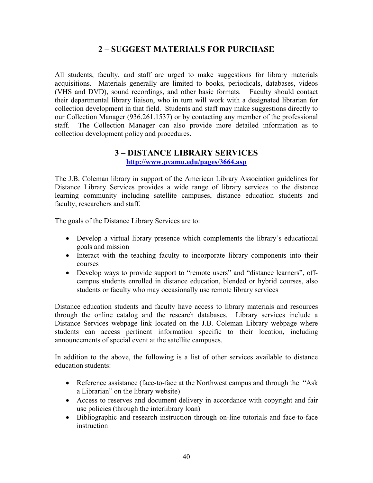#### **2 – SUGGEST MATERIALS FOR PURCHASE**

All students, faculty, and staff are urged to make suggestions for library materials acquisitions. Materials generally are limited to books, periodicals, databases, videos (VHS and DVD), sound recordings, and other basic formats. Faculty should contact their departmental library liaison, who in turn will work with a designated librarian for collection development in that field. Students and staff may make suggestions directly to our Collection Manager (936.261.1537) or by contacting any member of the professional staff. The Collection Manager can also provide more detailed information as to collection development policy and procedures.

# **3 – DISTANCE LIBRARY SERVICES**

**http://www.pvamu.edu/pages/3664.asp**

The J.B. Coleman library in support of the American Library Association guidelines for Distance Library Services provides a wide range of library services to the distance learning community including satellite campuses, distance education students and faculty, researchers and staff.

The goals of the Distance Library Services are to:

- ! Develop a virtual library presence which complements the library's educational goals and mission
- Interact with the teaching faculty to incorporate library components into their courses
- ! Develop ways to provide support to "remote users" and "distance learners", offcampus students enrolled in distance education, blended or hybrid courses, also students or faculty who may occasionally use remote library services

Distance education students and faculty have access to library materials and resources through the online catalog and the research databases. Library services include a Distance Services webpage link located on the J.B. Coleman Library webpage where students can access pertinent information specific to their location, including announcements of special event at the satellite campuses.

In addition to the above, the following is a list of other services available to distance education students:

- Reference assistance (face-to-face at the Northwest campus and through the "Ask" a Librarian" on the library website)
- ! Access to reserves and document delivery in accordance with copyright and fair use policies (through the interlibrary loan)
- ! Bibliographic and research instruction through on-line tutorials and face-to-face instruction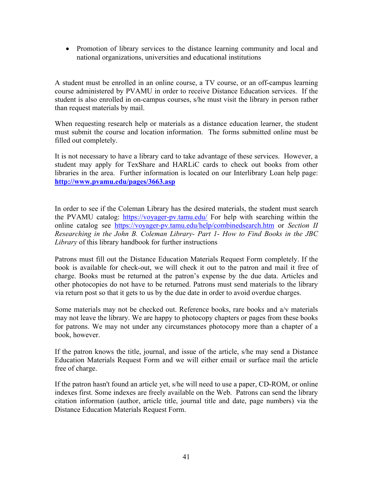• Promotion of library services to the distance learning community and local and national organizations, universities and educational institutions

A student must be enrolled in an online course, a TV course, or an off-campus learning course administered by PVAMU in order to receive Distance Education services. If the student is also enrolled in on-campus courses, s/he must visit the library in person rather than request materials by mail.

When requesting research help or materials as a distance education learner, the student must submit the course and location information. The forms submitted online must be filled out completely.

It is not necessary to have a library card to take advantage of these services. However, a student may apply for TexShare and HARLiC cards to check out books from other libraries in the area. Further information is located on our Interlibrary Loan help page: **http://www.pvamu.edu/pages/3663.asp**

In order to see if the Coleman Library has the desired materials, the student must search the PVAMU catalog: https://voyager-pv.tamu.edu/ For help with searching within the online catalog see https://voyager-pv.tamu.edu/help/combinedsearch.htm or *Section II Researching in the John B. Coleman Library- Part 1- How to Find Books in the JBC Library* of this library handbook for further instructions

Patrons must fill out the Distance Education Materials Request Form completely. If the book is available for check-out, we will check it out to the patron and mail it free of charge. Books must be returned at the patron's expense by the due data. Articles and other photocopies do not have to be returned. Patrons must send materials to the library via return post so that it gets to us by the due date in order to avoid overdue charges.

Some materials may not be checked out. Reference books, rare books and a/v materials may not leave the library. We are happy to photocopy chapters or pages from these books for patrons. We may not under any circumstances photocopy more than a chapter of a book, however.

If the patron knows the title, journal, and issue of the article, s/he may send a Distance Education Materials Request Form and we will either email or surface mail the article free of charge.

If the patron hasn't found an article yet, s/he will need to use a paper, CD-ROM, or online indexes first. Some indexes are freely available on the Web. Patrons can send the library citation information (author, article title, journal title and date, page numbers) via the Distance Education Materials Request Form.